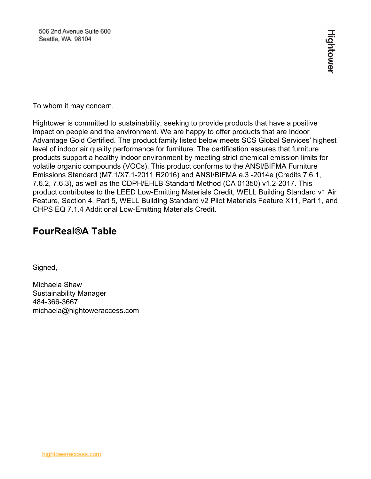To whom it may concern,

Hightower is committed to sustainability, seeking to provide products that have a positive impact on people and the environment. We are happy to offer products that are Indoor Advantage Gold Certified. The product family listed below meets SCS Global Services' highest level of indoor air quality performance for furniture. The certification assures that furniture products support a healthy indoor environment by meeting strict chemical emission limits for volatile organic compounds (VOCs). This product conforms to the ANSI/BIFMA Furniture Emissions Standard (M7.1/X7.1-2011 R2016) and ANSI/BIFMA e.3 -2014e (Credits 7.6.1, 7.6.2, 7.6.3), as well as the CDPH/EHLB Standard Method (CA 01350) v1.2-2017. This product contributes to the LEED Low-Emitting Materials Credit, WELL Building Standard v1 Air Feature, Section 4, Part 5, WELL Building Standard v2 Pilot Materials Feature X11, Part 1, and CHPS EQ 7.1.4 Additional Low-Emitting Materials Credit.

## **FourReal®A Table**

Signed,

Michaela Shaw Sustainability Manager 484-366-3667 michaela@hightoweraccess.com